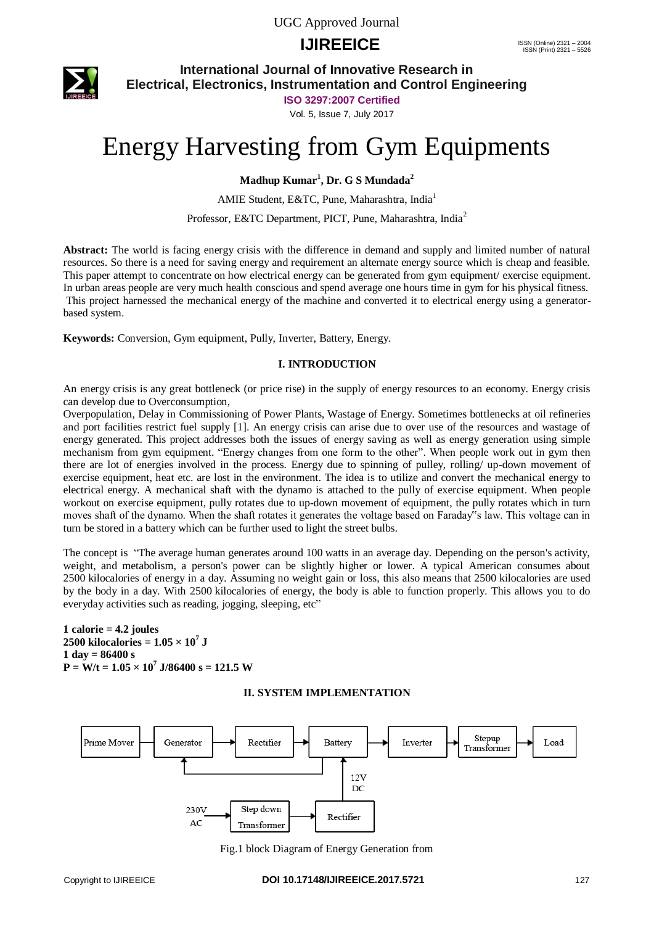UGC Approved Journal

### **IJIREEICE ISSN** (Online) 2321 – 2004



**International Journal of Innovative Research in Electrical, Electronics, Instrumentation and Control Engineering**

**ISO 3297:2007 Certified**

Vol. 5, Issue 7, July 2017

# Energy Harvesting from Gym Equipments

**Madhup Kumar<sup>1</sup> , Dr. G S Mundada<sup>2</sup>**

AMIE Student, E&TC, Pune, Maharashtra, India<sup>1</sup>

Professor, E&TC Department, PICT, Pune, Maharashtra, India<sup>2</sup>

**Abstract:** The world is facing energy crisis with the difference in demand and supply and limited number of natural resources. So there is a need for saving energy and requirement an alternate energy source which is cheap and feasible. This paper attempt to concentrate on how electrical energy can be generated from gym equipment/ exercise equipment. In urban areas people are very much health conscious and spend average one hours time in gym for his physical fitness. This project harnessed the mechanical energy of the machine and converted it to electrical energy using a generatorbased system.

**Keywords:** Conversion, Gym equipment, Pully, Inverter, Battery, Energy.

#### **I. INTRODUCTION**

An energy crisis is any great bottleneck (or price rise) in the supply of energy resources to an economy. Energy crisis can develop due to Overconsumption,

Overpopulation, Delay in Commissioning of Power Plants, Wastage of Energy. Sometimes bottlenecks at oil refineries and port facilities restrict fuel supply [1]. An energy crisis can arise due to over use of the resources and wastage of energy generated. This project addresses both the issues of energy saving as well as energy generation using simple mechanism from gym equipment. "Energy changes from one form to the other". When people work out in gym then there are lot of energies involved in the process. Energy due to spinning of pulley, rolling/ up-down movement of exercise equipment, heat etc. are lost in the environment. The idea is to utilize and convert the mechanical energy to electrical energy. A mechanical shaft with the dynamo is attached to the pully of exercise equipment. When people workout on exercise equipment, pully rotates due to up-down movement of equipment, the pully rotates which in turn moves shaft of the dynamo. When the shaft rotates it generates the voltage based on Faraday"s law. This voltage can in turn be stored in a battery which can be further used to light the street bulbs.

The concept is "The average human generates around 100 watts in an average day. Depending on the person's activity, weight, and metabolism, a person's power can be slightly higher or lower. A typical American consumes about 2500 kilocalories of energy in a day. Assuming no weight gain or loss, this also means that 2500 kilocalories are used by the body in a day. With 2500 kilocalories of energy, the body is able to function properly. This allows you to do everyday activities such as reading, jogging, sleeping, etc"

#### $1$  calorie  $= 4.2$  joules  $2500$  kilocalories =  $1.05 \times 10^7$  J **1 day = 86400 s P = W/t = 1.05 × 10<sup>7</sup> J/86400 s = 121.5 W**

#### **II. SYSTEM IMPLEMENTATION**



Fig.1 block Diagram of Energy Generation from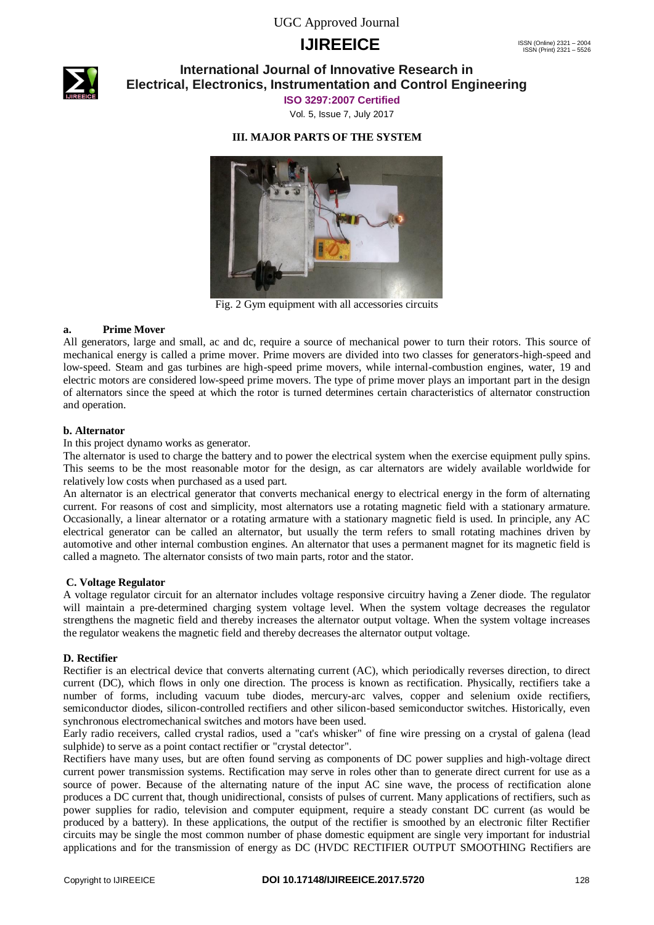UGC Approved Journal

# **IJIREEICE ISSN** (Online) 2321 – 2004



### **International Journal of Innovative Research in Electrical, Electronics, Instrumentation and Control Engineering**

**ISO 3297:2007 Certified**

Vol. 5, Issue 7, July 2017

#### **III. MAJOR PARTS OF THE SYSTEM**



Fig. 2 Gym equipment with all accessories circuits

#### **a. Prime Mover**

All generators, large and small, ac and dc, require a source of mechanical power to turn their rotors. This source of mechanical energy is called a prime mover. Prime movers are divided into two classes for generators-high-speed and low-speed. Steam and gas turbines are high-speed prime movers, while internal-combustion engines, water, 19 and electric motors are considered low-speed prime movers. The type of prime mover plays an important part in the design of alternators since the speed at which the rotor is turned determines certain characteristics of alternator construction and operation.

#### **b. Alternator**

In this project dynamo works as generator.

The alternator is used to charge the battery and to power the electrical system when the exercise equipment pully spins. This seems to be the most reasonable motor for the design, as car alternators are widely available worldwide for relatively low costs when purchased as a used part.

An alternator is an electrical generator that converts mechanical energy to electrical energy in the form of alternating current. For reasons of cost and simplicity, most alternators use a rotating magnetic field with a stationary armature. Occasionally, a linear alternator or a rotating armature with a stationary magnetic field is used. In principle, any AC electrical generator can be called an alternator, but usually the term refers to small rotating machines driven by automotive and other internal combustion engines. An alternator that uses a permanent magnet for its magnetic field is called a magneto. The alternator consists of two main parts, rotor and the stator.

#### **C. Voltage Regulator**

A voltage regulator circuit for an alternator includes voltage responsive circuitry having a Zener diode. The regulator will maintain a pre-determined charging system voltage level. When the system voltage decreases the regulator strengthens the magnetic field and thereby increases the alternator output voltage. When the system voltage increases the regulator weakens the magnetic field and thereby decreases the alternator output voltage.

#### **D. Rectifier**

Rectifier is an electrical device that converts alternating current (AC), which periodically reverses direction, to direct current (DC), which flows in only one direction. The process is known as rectification. Physically, rectifiers take a number of forms, including vacuum tube diodes, mercury-arc valves, copper and selenium oxide rectifiers, semiconductor diodes, silicon-controlled rectifiers and other silicon-based semiconductor switches. Historically, even synchronous electromechanical switches and motors have been used.

Early radio receivers, called crystal radios, used a "cat's whisker" of fine wire pressing on a crystal of galena (lead sulphide) to serve as a point contact rectifier or "crystal detector".

Rectifiers have many uses, but are often found serving as components of DC power supplies and high-voltage direct current power transmission systems. Rectification may serve in roles other than to generate direct current for use as a source of power. Because of the alternating nature of the input AC sine wave, the process of rectification alone produces a DC current that, though unidirectional, consists of pulses of current. Many applications of rectifiers, such as power supplies for radio, television and computer equipment, require a steady constant DC current (as would be produced by a battery). In these applications, the output of the rectifier is smoothed by an electronic filter Rectifier circuits may be single the most common number of phase domestic equipment are single very important for industrial applications and for the transmission of energy as DC (HVDC RECTIFIER OUTPUT SMOOTHING Rectifiers are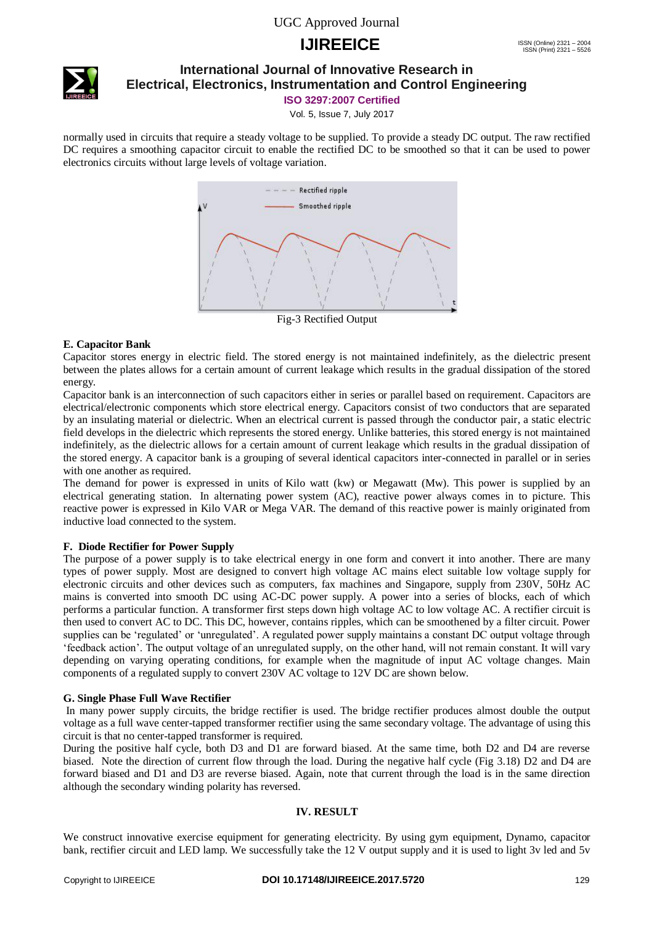### UGC Approved Journal

## **IJIREEICE ISSN** (Online) 2321 – 2004



### **International Journal of Innovative Research in Electrical, Electronics, Instrumentation and Control Engineering**

**ISO 3297:2007 Certified**

Vol. 5, Issue 7, July 2017

normally used in circuits that require a steady voltage to be supplied. To provide a steady DC output. The raw rectified DC requires a smoothing capacitor circuit to enable the rectified DC to be smoothed so that it can be used to power electronics circuits without large levels of voltage variation.



Fig-3 Rectified Output

#### **E. Capacitor Bank**

Capacitor stores energy in electric field. The stored energy is not maintained indefinitely, as the dielectric present between the plates allows for a certain amount of current leakage which results in the gradual dissipation of the stored energy.

Capacitor bank is an interconnection of such capacitors either in series or parallel based on requirement. Capacitors are electrical/electronic components which store electrical energy. Capacitors consist of two conductors that are separated by an insulating material or dielectric. When an electrical current is passed through the conductor pair, a static electric field develops in the dielectric which represents the stored energy. Unlike batteries, this stored energy is not maintained indefinitely, as the dielectric allows for a certain amount of current leakage which results in the gradual dissipation of the stored energy. A capacitor bank is a grouping of several identical capacitors inter-connected in parallel or in series with one another as required.

The demand for power is expressed in units of Kilo watt (kw) or Megawatt (Mw). This power is supplied by an electrical generating station. In alternating power system (AC), reactive power always comes in to picture. This reactive power is expressed in Kilo VAR or Mega VAR. The demand of this reactive power is mainly originated from inductive load connected to the system.

#### **F. Diode Rectifier for Power Supply**

The purpose of a power supply is to take electrical energy in one form and convert it into another. There are many types of power supply. Most are designed to convert high voltage AC mains elect suitable low voltage supply for electronic circuits and other devices such as computers, fax machines and Singapore, supply from 230V, 50Hz AC mains is converted into smooth DC using AC-DC power supply. A power into a series of blocks, each of which performs a particular function. A transformer first steps down high voltage AC to low voltage AC. A rectifier circuit is then used to convert AC to DC. This DC, however, contains ripples, which can be smoothened by a filter circuit. Power supplies can be 'regulated' or 'unregulated'. A regulated power supply maintains a constant DC output voltage through "feedback action". The output voltage of an unregulated supply, on the other hand, will not remain constant. It will vary depending on varying operating conditions, for example when the magnitude of input AC voltage changes. Main components of a regulated supply to convert 230V AC voltage to 12V DC are shown below.

#### **G. Single Phase Full Wave Rectifier**

In many power supply circuits, the bridge rectifier is used. The bridge rectifier produces almost double the output voltage as a full wave center-tapped transformer rectifier using the same secondary voltage. The advantage of using this circuit is that no center-tapped transformer is required.

During the positive half cycle, both D3 and D1 are forward biased. At the same time, both D2 and D4 are reverse biased. Note the direction of current flow through the load. During the negative half cycle (Fig 3.18) D2 and D4 are forward biased and D1 and D3 are reverse biased. Again, note that current through the load is in the same direction although the secondary winding polarity has reversed.

#### **IV. RESULT**

We construct innovative exercise equipment for generating electricity. By using gym equipment, Dynamo, capacitor bank, rectifier circuit and LED lamp. We successfully take the 12 V output supply and it is used to light 3v led and 5v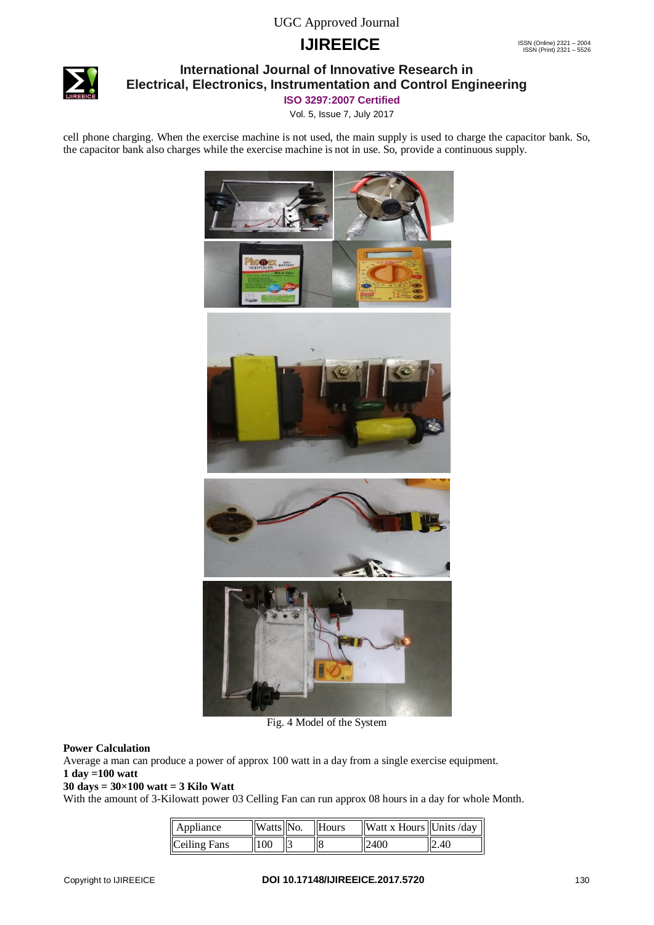# **IJIREEICE ISSN** (Online) 2321 – 2004



### **International Journal of Innovative Research in Electrical, Electronics, Instrumentation and Control Engineering**

**ISO 3297:2007 Certified**

Vol. 5, Issue 7, July 2017

cell phone charging. When the exercise machine is not used, the main supply is used to charge the capacitor bank. So, the capacitor bank also charges while the exercise machine is not in use. So, provide a continuous supply.



Fig. 4 Model of the System

#### **Power Calculation**

Average a man can produce a power of approx 100 watt in a day from a single exercise equipment. **1 day =100 watt**

#### **30 days = 30×100 watt = 3 Kilo Watt**

With the amount of 3-Kilowatt power 03 Celling Fan can run approx 08 hours in a day for whole Month.

| Appliance    | $\mathbf{Watts}$ No. | Hours | <b>Watt x Hours</b> Units /day |      |
|--------------|----------------------|-------|--------------------------------|------|
| Ceiling Fans | 100                  |       | 12400                          | 2.40 |